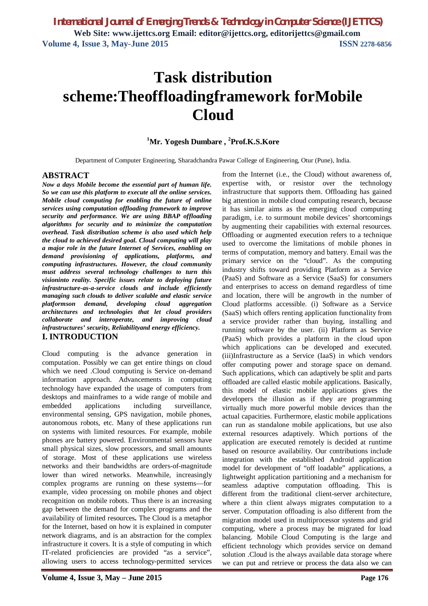# **Task distribution scheme:Theoffloadingframework forMobile Cloud**

## **<sup>1</sup>Mr. Yogesh Dumbare , <sup>2</sup>Prof.K.S.Kore**

Department of Computer Engineering, Sharadchandra Pawar College of Engineering, Otur (Pune), India.

#### **ABSTRACT**

*Now a days Mobile become the essential part of human life. So we can use this platform to execute all the online services. Mobile cloud computing for enabling the future of online services using computation offloading framework to improve security and performance. We are using BBAP offloading algorithms for security and to minimize the computation overhead. Task distribution scheme is also used which help the cloud to achieved desired goal. Cloud computing will play a major role in the future Internet of Services, enabling on demand provisioning of applications, platforms, and computing infrastructures. However, the cloud community must address several technology challenges to turn this visioninto reality. Specific issues relate to deploying future infrastructure-as-a-service clouds and include efficiently managing such clouds to deliver scalable and elastic service platformson demand, developing cloud aggregation architectures and technologies that let cloud providers collaborate and interoperate, and improving cloud infrastructures' security, Reliabilityand energy efficiency.* **I. INTRODUCTION** 

Cloud computing is the advance generation in computation. Possibly we can get entire things on cloud which we need .Cloud computing is Service on-demand information approach. Advancements in computing technology have expanded the usage of computers from desktops and mainframes to a wide range of mobile and embedded applications including surveillance, environmental sensing, GPS navigation, mobile phones, autonomous robots, etc. Many of these applications run on systems with limited resources. For example, mobile phones are battery powered. Environmental sensors have small physical sizes, slow processors, and small amounts of storage. Most of these applications use wireless networks and their bandwidths are orders-of-magnitude lower than wired networks. Meanwhile, increasingly complex programs are running on these systems—for example, video processing on mobile phones and object recognition on mobile robots. Thus there is an increasing gap between the demand for complex programs and the availability of limited resources**.** The Cloud is a metaphor for the Internet, based on how it is explained in computer network diagrams, and is an abstraction for the complex infrastructure it covers. It is a style of computing in which IT-related proficiencies are provided "as a service", allowing users to access technology-permitted services

**Volume 4, Issue 3, May – June 2015 Page 176**

from the Internet (i.e., the Cloud) without awareness of, expertise with, or resistor over the technology infrastructure that supports them. Offloading has gained big attention in mobile cloud computing research, because it has similar aims as the emerging cloud computing paradigm, i.e. to surmount mobile devices' shortcomings by augmenting their capabilities with external resources. Offloading or augmented execution refers to a technique used to overcome the limitations of mobile phones in terms of computation, memory and battery. Email was the primary service on the "cloud". As the computing industry shifts toward providing Platform as a Service (PaaS) and Software as a Service (SaaS) for consumers and enterprises to access on demand regardless of time and location, there will be angrowth in the number of Cloud platforms accessible. (i) Software as a Service (SaaS) which offers renting application functionality from a service provider rather than buying, installing and running software by the user. (ii) Platform as Service (PaaS) which provides a platform in the cloud upon which applications can be developed and executed. (iii)Infrastructure as a Service (IaaS) in which vendors offer computing power and storage space on demand. Such applications, which can adaptively be split and parts offloaded are called elastic mobile applications. Basically, this model of elastic mobile applications gives the developers the illusion as if they are programming virtually much more powerful mobile devices than the actual capacities. Furthermore, elastic mobile applications can run as standalone mobile applications, but use also external resources adaptively. Which portions of the application are executed remotely is decided at runtime based on resource availability. Our contributions include integration with the established Android application model for development of "off loadable" applications, a lightweight application partitioning and a mechanism for seamless adaptive computation offloading. This is different from the traditional client-server architecture, where a thin client always migrates computation to a server. Computation offloading is also different from the migration model used in multiprocessor systems and grid computing, where a process may be migrated for load balancing. Mobile Cloud Computing is the large and efficient technology which provides service on demand solution .Cloud is the always available data storage where we can put and retrieve or process the data also we can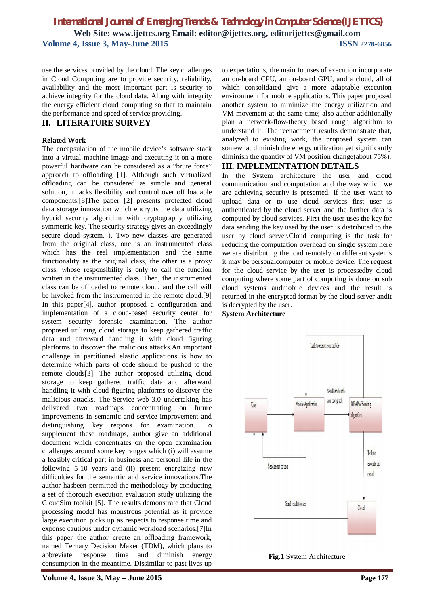## *International Journal of Emerging Trends & Technology in Computer Science (IJETTCS)* **Web Site: www.ijettcs.org Email: editor@ijettcs.org, editorijettcs@gmail.com Volume 4, Issue 3, May-June 2015 ISSN** 2278-6856

use the services provided by the cloud. The key challenges in Cloud Computing are to provide security, reliability, availability and the most important part is security to achieve integrity for the cloud data. Along with integrity the energy efficient cloud computing so that to maintain the performance and speed of service providing.

#### **II. LITERATURE SURVEY**

#### **Related Work**

The encapsulation of the mobile device's software stack into a virtual machine image and executing it on a more powerful hardware can be considered as a "brute force" approach to offloading [1]. Although such virtualized offloading can be considered as simple and general solution, it lacks flexibility and control over off loadable components.[8]The paper [2] presents protected cloud data storage innovation which encrypts the data utilizing hybrid security algorithm with cryptography utilizing symmetric key. The security strategy gives an exceedingly secure cloud system. ). Two new classes are generated from the original class, one is an instrumented class which has the real implementation and the same functionality as the original class, the other is a proxy class, whose responsibility is only to call the function written in the instrumented class. Then, the instrumented class can be offloaded to remote cloud, and the call will be invoked from the instrumented in the remote cloud.[9] In this paper[4], author proposed a configuration and implementation of a cloud-based security center for system security forensic examination. The author proposed utilizing cloud storage to keep gathered traffic data and afterward handling it with cloud figuring platforms to discover the malicious attacks.An important challenge in partitioned elastic applications is how to determine which parts of code should be pushed to the remote clouds[3]. The author proposed utilizing cloud storage to keep gathered traffic data and afterward handling it with cloud figuring platforms to discover the malicious attacks. The Service web 3.0 undertaking has delivered two roadmaps concentrating on future improvements in semantic and service improvement and distinguishing key regions for examination. To supplement these roadmaps, author give an additional document which concentrates on the open examination challenges around some key ranges which (i) will assume a feasibly critical part in business and personal life in the following 5-10 years and (ii) present energizing new difficulties for the semantic and service innovations.The author hasbeen permitted the methodology by conducting a set of thorough execution evaluation study utilizing the CloudSim toolkit [5]. The results demonstrate that Cloud processing model has monstrous potential as it provide large execution picks up as respects to response time and expense cautious under dynamic workload scenarios.[7]In this paper the author create an offloading framework, named Ternary Decision Maker (TDM), which plans to abbreviate response time and diminish energy consumption in the meantime. Dissimilar to past lives up

to expectations, the main focuses of execution incorporate an on-board CPU, an on-board GPU, and a cloud, all of which consolidated give a more adaptable execution environment for mobile applications. This paper proposed another system to minimize the energy utilization and VM movement at the same time; also author additionally plan a network-flow-theory based rough algorithm to understand it. The reenactment results demonstrate that, analyzed to existing work, the proposed system can somewhat diminish the energy utilization yet significantly diminish the quantity of VM position change(about 75%). **III. IMPLEMENTATION DETAILS**

In the System architecture the user and cloud communication and computation and the way which we are achieving security is presented. If the user want to upload data or to use cloud services first user is authenticated by the cloud server and the further data is computed by cloud services. First the user uses the key for data sending the key used by the user is distributed to the user by cloud server.Cloud computing is the task for reducing the computation overhead on single system here we are distributing the load remotely on different systems it may be personalcomputer or mobile device. The request for the cloud service by the user is processedby cloud computing where some part of computing is done on sub cloud systems andmobile devices and the result is returned in the encrypted format by the cloud server andit is decrypted by the user.





**Fig.1** System Architecture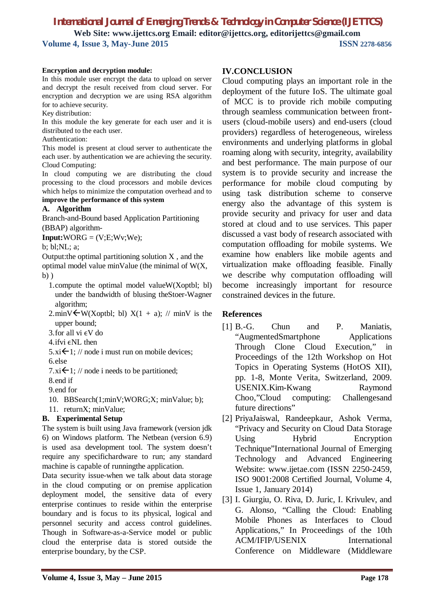*International Journal of Emerging Trends & Technology in Computer Science (IJETTCS)* **Web Site: www.ijettcs.org Email: editor@ijettcs.org, editorijettcs@gmail.com Volume 4, Issue 3, May-June 2015 ISSN 2278-6856**

#### **Encryption and decryption module:**

In this module user encrypt the data to upload on server and decrypt the result received from cloud server. For encryption and decryption we are using RSA algorithm for to achieve security.

Key distribution:

In this module the key generate for each user and it is distributed to the each user.

Authentication:

This model is present at cloud server to authenticate the each user. by authentication we are achieving the security. Cloud Computing:

In cloud computing we are distributing the cloud processing to the cloud processors and mobile devices which helps to minimize the computation overhead and to **improve the performance of this system**

# **A. Algorithm**

Branch-and-Bound based Application Partitioning (BBAP) algorithm-

 $Input: WORG = (V;E;Wv;We);$ 

b; bl;NL; a;

Output: the optimal partitioning solution  $X$ , and the

optimal model value minValue (the minimal of W(X,  $b)$ )

- 1.compute the optimal model valueW(Xoptbl; bl) under the bandwidth of blusing theStoer-Wagner algorithm;
- 2.minV $\forall W(X$ optbl; bl)  $X(1 + a)$ ; // minV is the upper bound;
- 3.for all vi  $\epsilon V$  do
- $4$ .ifvi  $\epsilon$ NL then
- $5.xi \leftarrow 1$ ; // node i must run on mobile devices;
- 6.else

7. xi $\leftarrow$  1; // node i needs to be partitioned;

- 8.end if
- 9.end for

10. BBSearch(1;minV;WORG;X; minValue; b);

11. returnX; minValue;

## **B. Experimental Setup**

The system is built using Java framework (version jdk 6) on Windows platform. The Netbean (version 6.9) is used asa development tool. The system doesn't require any specifichardware to run; any standard machine is capable of runningthe application.

Data security issue-when we talk about data storage in the cloud computing or on premise application deployment model, the sensitive data of every enterprise continues to reside within the enterprise boundary and is focus to its physical, logical and personnel security and access control guidelines. Though in Software-as-a-Service model or public cloud the enterprise data is stored outside the enterprise boundary, by the CSP.

## **IV.CONCLUSION**

Cloud computing plays an important role in the deployment of the future IoS. The ultimate goal of MCC is to provide rich mobile computing through seamless communication between frontusers (cloud-mobile users) and end-users (cloud providers) regardless of heterogeneous, wireless environments and underlying platforms in global roaming along with security, integrity, availability and best performance. The main purpose of our system is to provide security and increase the performance for mobile cloud computing by using task distribution scheme to conserve energy also the advantage of this system is provide security and privacy for user and data stored at cloud and to use services. This paper discussed a vast body of research associated with computation offloading for mobile systems. We examine how enablers like mobile agents and virtualization make offloading feasible. Finally we describe why computation offloading will become increasingly important for resource constrained devices in the future.

### **References**

- [1] B.-G. Chun and P. Maniatis, "AugmentedSmartphone Applications Through Clone Cloud Execution," in Proceedings of the 12th Workshop on Hot Topics in Operating Systems (HotOS XII), pp. 1-8, Monte Verita, Switzerland, 2009. USENIX.Kim-Kwang Raymond Choo,"Cloud computing: Challengesand future directions"
- [2] PriyaJaiswal, Randeepkaur, Ashok Verma, "Privacy and Security on Cloud Data Storage Using Hybrid Encryption Technique"International Journal of Emerging Technology and Advanced Engineering Website: www.ijetae.com (ISSN 2250-2459, ISO 9001:2008 Certified Journal, Volume 4, Issue 1, January 2014)
- [3] I. Giurgiu, O. Riva, D. Juric, I. Krivulev, and G. Alonso, "Calling the Cloud: Enabling Mobile Phones as Interfaces to Cloud Applications," In Proceedings of the 10th ACM/IFIP/USENIX International Conference on Middleware (Middleware